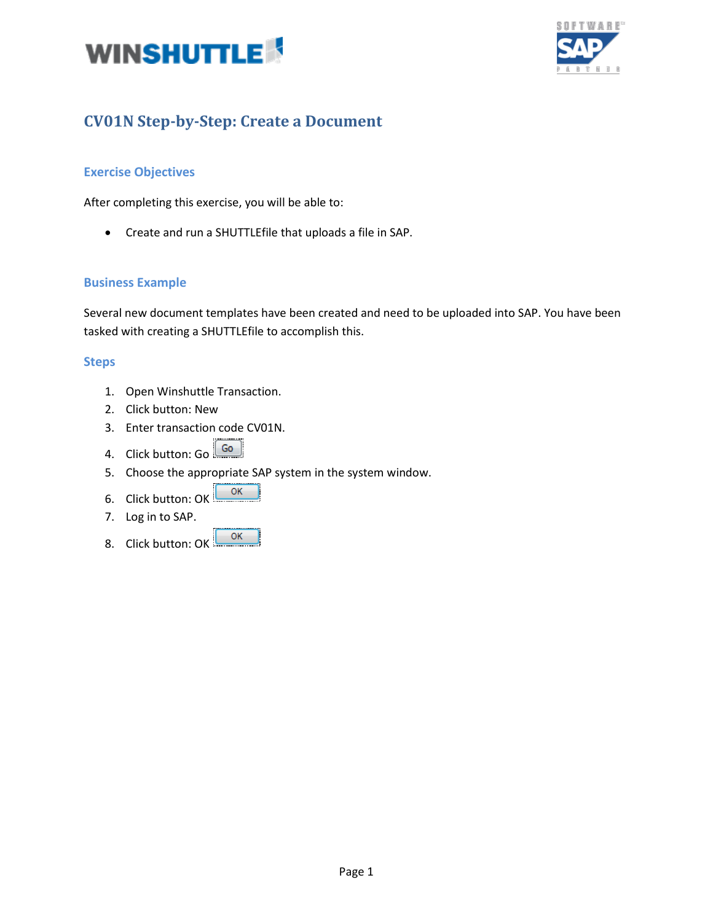



# **CV01N Step-by-Step: Create a Document**

## **Exercise Objectives**

After completing this exercise, you will be able to:

Create and run a SHUTTLEfile that uploads a file in SAP.

#### **Business Example**

Several new document templates have been created and need to be uploaded into SAP. You have been tasked with creating a SHUTTLEfile to accomplish this.

#### **Steps**

- 1. Open Winshuttle Transaction.
- 2. Click button: New
- 3. Enter transaction code CV01N.
- $Go$ 4. Click button: Go
- 5. Choose the appropriate SAP system in the system window.
- OK 6. Click button: OK
- 7. Log in to SAP.
- OK 8. Click button: OK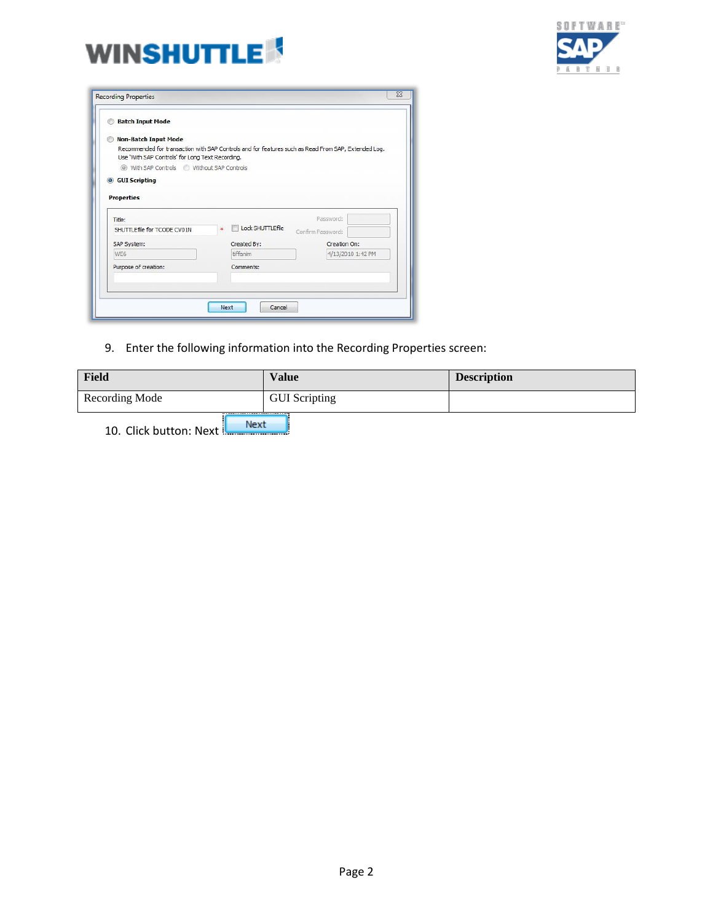



| <b>Batch Input Mode</b>                                                         |    |                                                                                                     |                   |
|---------------------------------------------------------------------------------|----|-----------------------------------------------------------------------------------------------------|-------------------|
| <b>Non-Batch Input Mode</b><br>Use 'With SAP Controls' for Long Text Recording. |    | Recommended for transaction with SAP Controls and for features such as Read From SAP, Extended Log. |                   |
| 3 With SAP Controls Without SAP Controls                                        |    |                                                                                                     |                   |
| <b>GUI Scripting</b>                                                            |    |                                                                                                     |                   |
| <b>Properties</b>                                                               |    |                                                                                                     |                   |
|                                                                                 |    |                                                                                                     |                   |
| Title:                                                                          |    |                                                                                                     | Password:         |
| SHUTTLEfile for TCODE CV01N                                                     | ä. | Lock SHUTTLEfile<br>Confirm Password:                                                               |                   |
| SAP System:                                                                     |    | Created By:                                                                                         | Creation On:      |
|                                                                                 |    | tiffanim                                                                                            | 4/13/2010 1:42 PM |
| WE6                                                                             |    | Comments:                                                                                           |                   |
| Purpose of creation:                                                            |    |                                                                                                     |                   |
|                                                                                 |    |                                                                                                     |                   |

9. Enter the following information into the Recording Properties screen:

| <b>Field</b>   | Value                | <b>Description</b> |
|----------------|----------------------|--------------------|
| Recording Mode | <b>GUI</b> Scripting |                    |
| $\cdots$       |                      |                    |

10. Click button: Next **Law Mext 10.**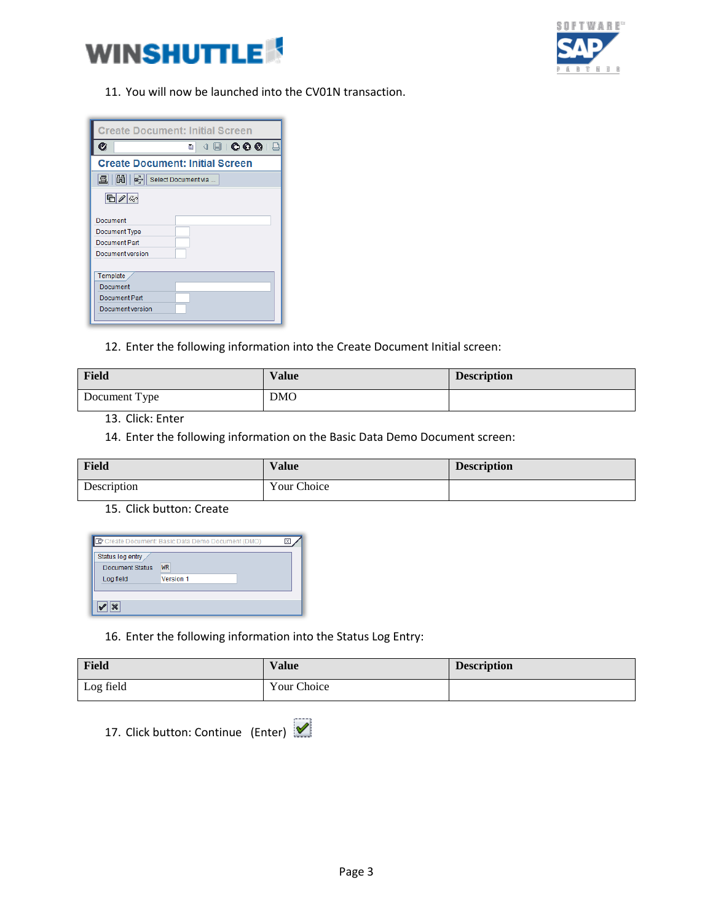



11. You will now be launched into the CV01N transaction.

| <b>Create Document: Initial Screen</b>                                              |                      |  |  |  |  |  |
|-------------------------------------------------------------------------------------|----------------------|--|--|--|--|--|
| Ø                                                                                   | 4 8 1 6 6 6 1 8<br>ū |  |  |  |  |  |
| <b>Create Document: Initial Screen</b>                                              |                      |  |  |  |  |  |
| 岡川<br>$\left \mathbf{E}_{\mathbf{y}}^{\mathcal{Z}}\right $ Select Document via<br>县 |                      |  |  |  |  |  |
| $\mathbf{E}$ 25                                                                     |                      |  |  |  |  |  |
| Document                                                                            |                      |  |  |  |  |  |
| Document Type                                                                       |                      |  |  |  |  |  |
| Document Part                                                                       |                      |  |  |  |  |  |
| Document version                                                                    |                      |  |  |  |  |  |
|                                                                                     |                      |  |  |  |  |  |
| Template                                                                            |                      |  |  |  |  |  |
| Document                                                                            |                      |  |  |  |  |  |
| Document Part                                                                       |                      |  |  |  |  |  |
| Document version                                                                    |                      |  |  |  |  |  |
|                                                                                     |                      |  |  |  |  |  |

12. Enter the following information into the Create Document Initial screen:

| Field         | <b>Value</b> | <b>Description</b> |
|---------------|--------------|--------------------|
| Document Type | <b>DMO</b>   |                    |

### 13. Click: Enter

14. Enter the following information on the Basic Data Demo Document screen:

| Field       | <b>Value</b> | <b>Description</b> |
|-------------|--------------|--------------------|
| Description | Your Choice  |                    |

15. Click button: Create

| C Create Document: Basic Data Demo Document (DMO) |           |  |  |  |  |  |
|---------------------------------------------------|-----------|--|--|--|--|--|
| Status log entry<br>Document Status               | <b>WR</b> |  |  |  |  |  |
| Log field                                         | Version 1 |  |  |  |  |  |
|                                                   |           |  |  |  |  |  |

16. Enter the following information into the Status Log Entry:

| Field     | <b>Value</b> | <b>Description</b> |
|-----------|--------------|--------------------|
| Log field | Your Choice  |                    |

17. Click button: Continue (Enter)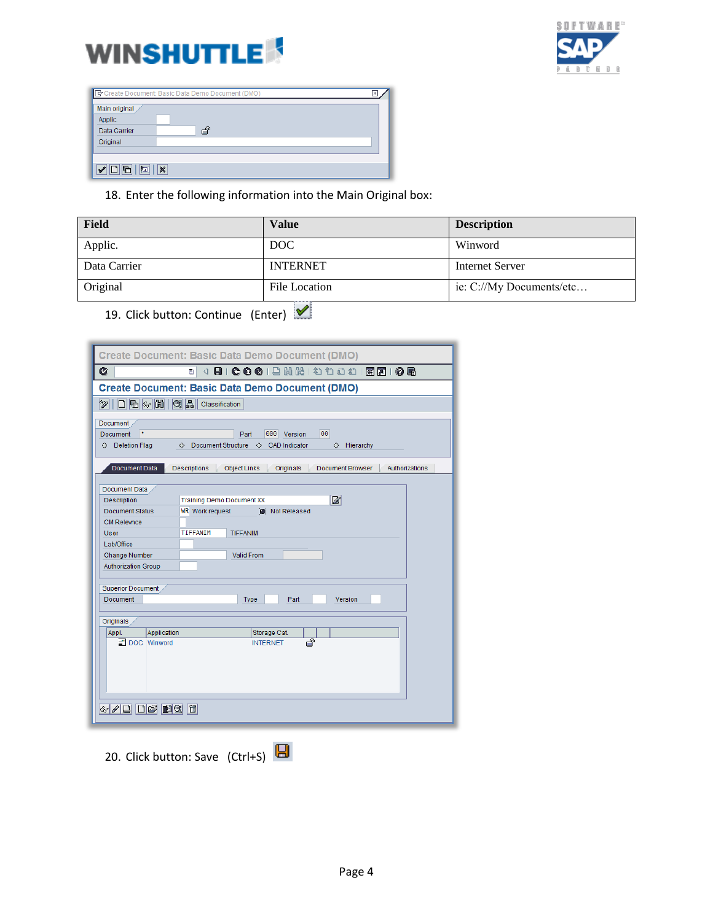



|               | Create Document: Basic Data Demo Document (DMO) |  |
|---------------|-------------------------------------------------|--|
| Main original |                                                 |  |
| Applic.       |                                                 |  |
| Data Carrier  | എ                                               |  |
| Original      |                                                 |  |
|               |                                                 |  |
|               |                                                 |  |
| 區<br>h<br>Πl  | $\boldsymbol{\varkappa}$                        |  |

18. Enter the following information into the Main Original box:

| <b>Field</b> | Value<br><b>Description</b> |                          |  |  |
|--------------|-----------------------------|--------------------------|--|--|
| Applic.      | DOC                         | Winword                  |  |  |
| Data Carrier | <b>INTERNET</b>             | <b>Internet Server</b>   |  |  |
| Original     | File Location               | ie: C://My Documents/etc |  |  |

19. Click button: Continue (Enter)

|                                               | <b>Create Document: Basic Data Demo Document (DMO)</b>                                 |
|-----------------------------------------------|----------------------------------------------------------------------------------------|
| Ø                                             | 4 B   C G G   B H H H D O O C   F F F I O B<br>Ū.                                      |
|                                               | <b>Create Document: Basic Data Demo Document (DMO)</b>                                 |
| <b>DBG個图晶 Classification</b><br>$\mathscr{D}$ |                                                                                        |
| <b>Document</b>                               |                                                                                        |
| $\star$<br>Document                           | 000 Version<br>00<br>Part                                                              |
| O Deletion Flag                               | ○ Document Structure<br>○ CAD Indicator<br>$\Diamond$ Hierarchy                        |
| Document Data                                 | Descriptions<br>Originals<br>Document Browser<br><b>Object Links</b><br>Authorizations |
| Document Data                                 |                                                                                        |
| Description                                   | Ø<br><b>Training Demo Document XX</b>                                                  |
| <b>Document Status</b>                        | WR Work request<br>Wot Released                                                        |
| CM Relevnce                                   |                                                                                        |
| User                                          | TIFFANIM<br><b>TIFFANIM</b>                                                            |
| Lab/Office                                    |                                                                                        |
| <b>Change Number</b>                          | Valid From                                                                             |
| <b>Authorization Group</b>                    |                                                                                        |
| Superior Document                             |                                                                                        |
| <b>Document</b>                               | Part<br><b>Type</b><br><b>Version</b>                                                  |
|                                               |                                                                                        |
| Originals                                     |                                                                                        |
| Application<br>Appl.                          | Storage Cat.                                                                           |
| DOC Winword                                   | சி<br><b>INTERNET</b>                                                                  |
|                                               |                                                                                        |
|                                               |                                                                                        |
|                                               |                                                                                        |
|                                               |                                                                                        |
| 4/8 DF 2 1                                    |                                                                                        |
|                                               |                                                                                        |

20. Click button: Save (Ctrl+S)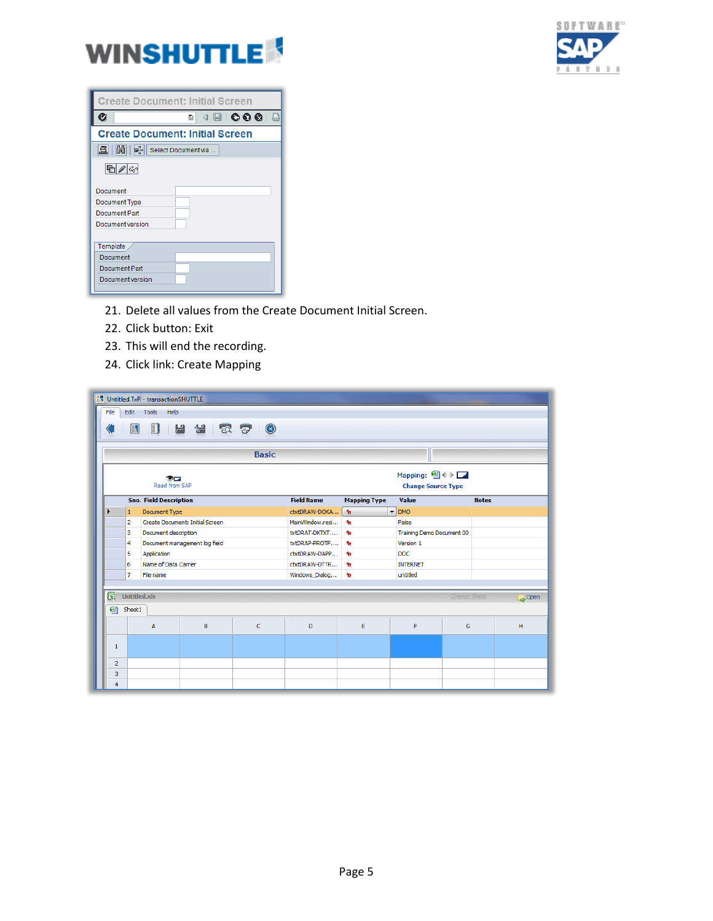



| <b>Create Document: Initial Screen</b>                                                                                                                                       |
|------------------------------------------------------------------------------------------------------------------------------------------------------------------------------|
| 4 B   C C C I B<br>Ø<br>囼                                                                                                                                                    |
| <b>Create Document: Initial Screen</b>                                                                                                                                       |
| $\left \begin{bmatrix} \frac{\partial v}{\partial u} \end{bmatrix}\right  \left \begin{bmatrix} \frac{\partial v}{\partial u} \end{bmatrix}\right $ Select Document via<br>且 |
| $\blacksquare$                                                                                                                                                               |
| Document                                                                                                                                                                     |
| Document Type                                                                                                                                                                |
| Document Part                                                                                                                                                                |
| Document version                                                                                                                                                             |
|                                                                                                                                                                              |
| Template                                                                                                                                                                     |
| Document                                                                                                                                                                     |
| Document Part                                                                                                                                                                |
| Document version                                                                                                                                                             |

- 21. Delete all values from the Create Document Initial Screen.
- 22. Click button: Exit
- 23. This will end the recording.
- 24. Click link: Create Mapping

| File           |                               | Untitled.TxR - transactionSHUTTLE<br>Edit Tools<br>Help |                                 |                |                   |                     |                                                                                     |              |              |      |
|----------------|-------------------------------|---------------------------------------------------------|---------------------------------|----------------|-------------------|---------------------|-------------------------------------------------------------------------------------|--------------|--------------|------|
|                | $\mathbb H$                   | $\square$                                               | H<br>38 13 13                   | $\circledcirc$ |                   |                     |                                                                                     |              |              |      |
|                |                               |                                                         |                                 | <b>Basic</b>   |                   |                     |                                                                                     |              |              |      |
|                |                               | ਲੋਸ<br>Read from SAP                                    |                                 |                |                   |                     | Mapping: $\mathbf{B} \leftrightarrow \mathbf{\square}$<br><b>Change Source Type</b> |              |              |      |
|                | <b>Sno. Field Description</b> |                                                         |                                 |                | <b>Field Name</b> | <b>Mapping Type</b> | Value                                                                               |              | <b>Notes</b> |      |
|                | $\mathbf{1}$                  | Document Type                                           |                                 |                | ctxtDRAW-DOKA     | $\bullet$           | $\overline{\phantom{a}}$ DMO                                                        |              |              |      |
|                | $\overline{2}$                |                                                         | Create Document: Initial Screen |                | MainWindow.resi   | s                   | False                                                                               |              |              |      |
|                | з                             | Document description                                    |                                 |                | txtDRAT-DKTXT     | e.                  | Training Demo Document 00                                                           |              |              |      |
|                | 4                             |                                                         | Document management log field   |                | txtDRAP-PROTF     | s                   | Version 1                                                                           |              |              |      |
|                | 5                             | Application                                             |                                 |                | ctxtDRAW-DAPP     | ÷                   | <b>DOC</b><br><b>INTERNET</b>                                                       |              |              |      |
|                | 6                             | Name of Data Carrier                                    |                                 |                | ctxtDRAW-DTTR     | ÷                   |                                                                                     |              |              |      |
|                | 7                             | File name                                               |                                 |                | Windows_Dialog    | ÷                   | untitled                                                                            |              |              |      |
| $\mathbf{a}$   |                               | Untitled.xls                                            |                                 |                |                   |                     |                                                                                     | Change Sheet |              | Open |
| 图              | Sheet1                        |                                                         |                                 |                |                   |                     |                                                                                     |              |              |      |
|                |                               | A                                                       | B                               | c              | D                 | E                   | F                                                                                   | G            |              | н    |
| 1              |                               |                                                         |                                 |                |                   |                     |                                                                                     |              |              |      |
| $\overline{c}$ |                               |                                                         |                                 |                |                   |                     |                                                                                     |              |              |      |
| 3              |                               |                                                         |                                 |                |                   |                     |                                                                                     |              |              |      |
| $\overline{4}$ |                               |                                                         |                                 |                |                   |                     |                                                                                     |              |              |      |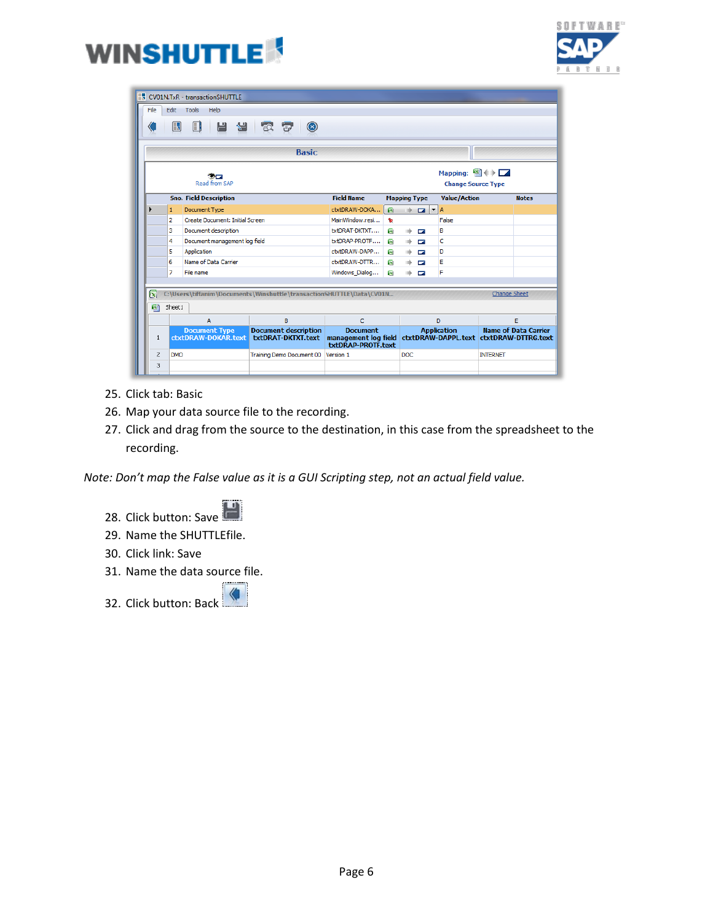# **WINSHUTTLE**



| File         | Edit           | <b>Tools</b><br>Help                        |                                                                      |                                       |                          |                          |                          |                                           |                             |              |
|--------------|----------------|---------------------------------------------|----------------------------------------------------------------------|---------------------------------------|--------------------------|--------------------------|--------------------------|-------------------------------------------|-----------------------------|--------------|
|              | $\mathbb R$    | Œ<br>님<br>۰a                                | $\alpha$ $\sigma$<br>$\circledast$                                   |                                       |                          |                          |                          |                                           |                             |              |
|              |                |                                             | <b>Basic</b>                                                         |                                       |                          |                          |                          |                                           |                             |              |
|              |                | - -<br>Read from SAP                        |                                                                      |                                       |                          |                          |                          | Mapping: 图<><br><b>Change Source Type</b> |                             |              |
|              |                | <b>Sno. Field Description</b>               |                                                                      | <b>Field Name</b>                     |                          | <b>Mapping Type</b>      |                          | <b>Value/Action</b>                       |                             | <b>Notes</b> |
|              | $\mathbf{1}$   | Document Type                               |                                                                      | ctxtDRAW-DOKA                         | 國                        | $\rightarrow$            | $\blacksquare$           | A                                         |                             |              |
|              | $\overline{2}$ | Create Document: Initial Screen             |                                                                      | MainWindow.resi                       | D                        |                          |                          | False                                     |                             |              |
|              | 3              | Document description                        |                                                                      | txtDRAT-DKTXT                         | 露                        | nb.                      | $\overline{\phantom{0}}$ | в                                         |                             |              |
|              | 4              | Document management log field               | txtDRAP-PROTF                                                        | $\mathbb R$                           | nb.                      | $\overline{\phantom{a}}$ | c                        |                                           |                             |              |
|              | 5              | Application                                 | ctxtDRAW-DAPP                                                        | 露                                     |                          | $\overline{a}$           | D                        |                                           |                             |              |
|              | 6              | Name of Data Carrier                        | ctxtDRAW-DTTR                                                        | $\mathbf{R}$                          | $\overline{\phantom{a}}$ |                          | E                        |                                           |                             |              |
|              | 7              | File name                                   |                                                                      | Windows_Dialog                        | 露                        | nb.                      | $\overline{\phantom{a}}$ | F                                         |                             |              |
| $\mathbb{R}$ |                |                                             | C:\Users\tiffanim\Documents\Winshuttle\transactionSHUTTLE\Data\CV01N |                                       |                          |                          |                          |                                           | <b>Change Sheet</b>         |              |
| 困            | Sheet1         |                                             |                                                                      |                                       |                          |                          |                          |                                           |                             |              |
|              | A              |                                             | R.                                                                   | $\mathcal{C}$                         |                          |                          |                          | D                                         | F                           |              |
|              |                | <b>Document Type</b><br>ctxtDRAW-DOKAR.text | <b>Document description</b><br>txtDRAT-DKTXT.text                    | <b>Document</b><br>txtDRAP-PROTF.text |                          |                          |                          | <b>Application</b>                        | <b>Name of Data Carrier</b> |              |
| 1            |                |                                             |                                                                      |                                       |                          |                          |                          |                                           |                             |              |

- 25. Click tab: Basic
- 26. Map your data source file to the recording.
- 27. Click and drag from the source to the destination, in this case from the spreadsheet to the recording.

*Note: Don't map the False value as it is a GUI Scripting step, not an actual field value.*



- 29. Name the SHUTTLEfile.
- 30. Click link: Save
- 31. Name the data source file.